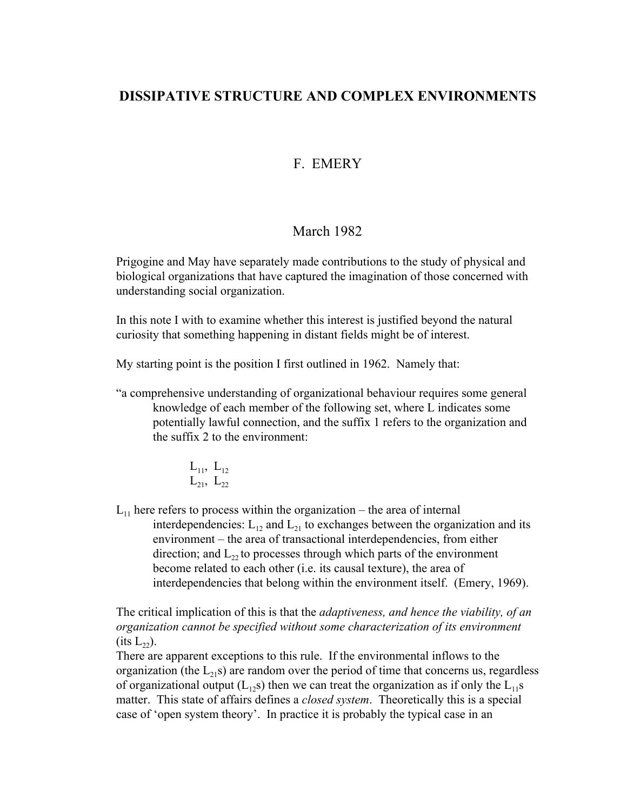# **DISSIPATIVE STRUCTURE AND COMPLEX ENVIRONMENTS**

# F. EMERY

## March 1982

Prigogine and May have separately made contributions to the study of physical and biological organizations that have captured the imagination of those concerned with understanding social organization.

In this note I with to examine whether this interest is justified beyond the natural curiosity that something happening in distant fields might be of interest.

My starting point is the position I first outlined in 1962. Namely that:

"a comprehensive understanding of organizational behaviour requires some general knowledge of each member of the following set, where L indicates some potentially lawful connection, and the suffix 1 refers to the organization and the suffix 2 to the environment:

$$
\begin{matrix}L_{11},\ L_{12}\\ L_{21},\ L_{22}\end{matrix}
$$

 $L_{11}$  here refers to process within the organization – the area of internal interdependencies:  $L_{12}$  and  $L_{21}$  to exchanges between the organization and its environment – the area of transactional interdependencies, from either direction; and  $L_{22}$  to processes through which parts of the environment become related to each other (i.e. its causal texture), the area of interdependencies that belong within the environment itself. (Emery, 1969).

The critical implication of this is that the *adaptiveness, and hence the viability, of an organization cannot be specified without some characterization of its environment*  $(\text{its } L_{22}).$ 

There are apparent exceptions to this rule. If the environmental inflows to the organization (the  $L_{21}s$ ) are random over the period of time that concerns us, regardless of organizational output  $(L_{12}s)$  then we can treat the organization as if only the  $L_{11}s$ matter. This state of affairs defines a *closed system*. Theoretically this is a special case of 'open system theory'. In practice it is probably the typical case in an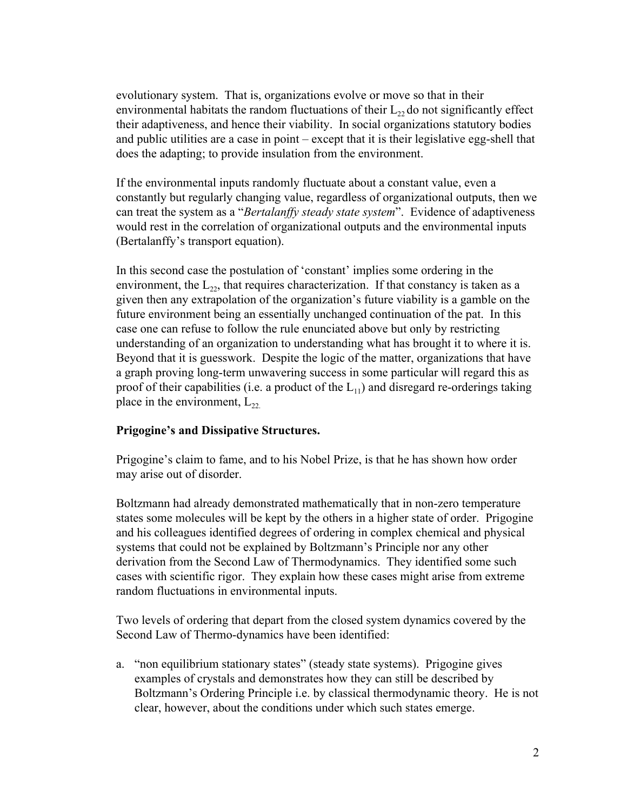evolutionary system. That is, organizations evolve or move so that in their environmental habitats the random fluctuations of their  $L_{22}$  do not significantly effect their adaptiveness, and hence their viability. In social organizations statutory bodies and public utilities are a case in point – except that it is their legislative egg-shell that does the adapting; to provide insulation from the environment.

If the environmental inputs randomly fluctuate about a constant value, even a constantly but regularly changing value, regardless of organizational outputs, then we can treat the system as a "*Bertalanffy steady state system*". Evidence of adaptiveness would rest in the correlation of organizational outputs and the environmental inputs (Bertalanffy's transport equation).

In this second case the postulation of 'constant' implies some ordering in the environment, the  $L_{22}$ , that requires characterization. If that constancy is taken as a given then any extrapolation of the organization's future viability is a gamble on the future environment being an essentially unchanged continuation of the pat. In this case one can refuse to follow the rule enunciated above but only by restricting understanding of an organization to understanding what has brought it to where it is. Beyond that it is guesswork. Despite the logic of the matter, organizations that have a graph proving long-term unwavering success in some particular will regard this as proof of their capabilities (i.e. a product of the  $L_{11}$ ) and disregard re-orderings taking place in the environment,  $L_{22}$ .

## **Prigogine's and Dissipative Structures.**

Prigogine's claim to fame, and to his Nobel Prize, is that he has shown how order may arise out of disorder.

Boltzmann had already demonstrated mathematically that in non-zero temperature states some molecules will be kept by the others in a higher state of order. Prigogine and his colleagues identified degrees of ordering in complex chemical and physical systems that could not be explained by Boltzmann's Principle nor any other derivation from the Second Law of Thermodynamics. They identified some such cases with scientific rigor. They explain how these cases might arise from extreme random fluctuations in environmental inputs.

Two levels of ordering that depart from the closed system dynamics covered by the Second Law of Thermo-dynamics have been identified:

a. "non equilibrium stationary states" (steady state systems). Prigogine gives examples of crystals and demonstrates how they can still be described by Boltzmann's Ordering Principle i.e. by classical thermodynamic theory. He is not clear, however, about the conditions under which such states emerge.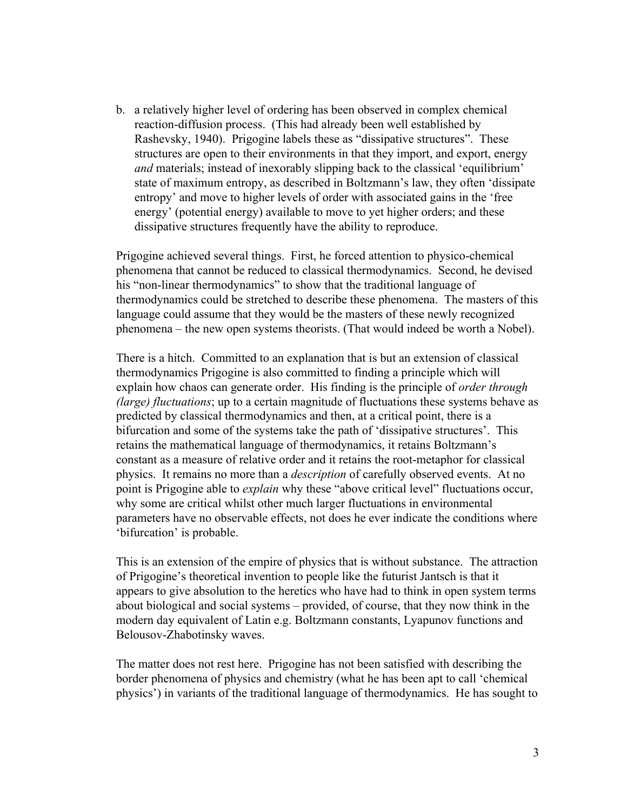b. a relatively higher level of ordering has been observed in complex chemical reaction-diffusion process. (This had already been well established by Rashevsky, 1940). Prigogine labels these as "dissipative structures". These structures are open to their environments in that they import, and export, energy *and* materials; instead of inexorably slipping back to the classical 'equilibrium' state of maximum entropy, as described in Boltzmann's law, they often 'dissipate entropy' and move to higher levels of order with associated gains in the 'free energy' (potential energy) available to move to yet higher orders; and these dissipative structures frequently have the ability to reproduce.

Prigogine achieved several things. First, he forced attention to physico-chemical phenomena that cannot be reduced to classical thermodynamics. Second, he devised his "non-linear thermodynamics" to show that the traditional language of thermodynamics could be stretched to describe these phenomena. The masters of this language could assume that they would be the masters of these newly recognized phenomena – the new open systems theorists. (That would indeed be worth a Nobel).

There is a hitch. Committed to an explanation that is but an extension of classical thermodynamics Prigogine is also committed to finding a principle which will explain how chaos can generate order. His finding is the principle of *order through (large) fluctuations*; up to a certain magnitude of fluctuations these systems behave as predicted by classical thermodynamics and then, at a critical point, there is a bifurcation and some of the systems take the path of 'dissipative structures'. This retains the mathematical language of thermodynamics, it retains Boltzmann's constant as a measure of relative order and it retains the root-metaphor for classical physics. It remains no more than a *description* of carefully observed events. At no point is Prigogine able to *explain* why these "above critical level" fluctuations occur, why some are critical whilst other much larger fluctuations in environmental parameters have no observable effects, not does he ever indicate the conditions where 'bifurcation' is probable.

This is an extension of the empire of physics that is without substance. The attraction of Prigogine's theoretical invention to people like the futurist Jantsch is that it appears to give absolution to the heretics who have had to think in open system terms about biological and social systems – provided, of course, that they now think in the modern day equivalent of Latin e.g. Boltzmann constants, Lyapunov functions and Belousov-Zhabotinsky waves.

The matter does not rest here. Prigogine has not been satisfied with describing the border phenomena of physics and chemistry (what he has been apt to call 'chemical physics') in variants of the traditional language of thermodynamics. He has sought to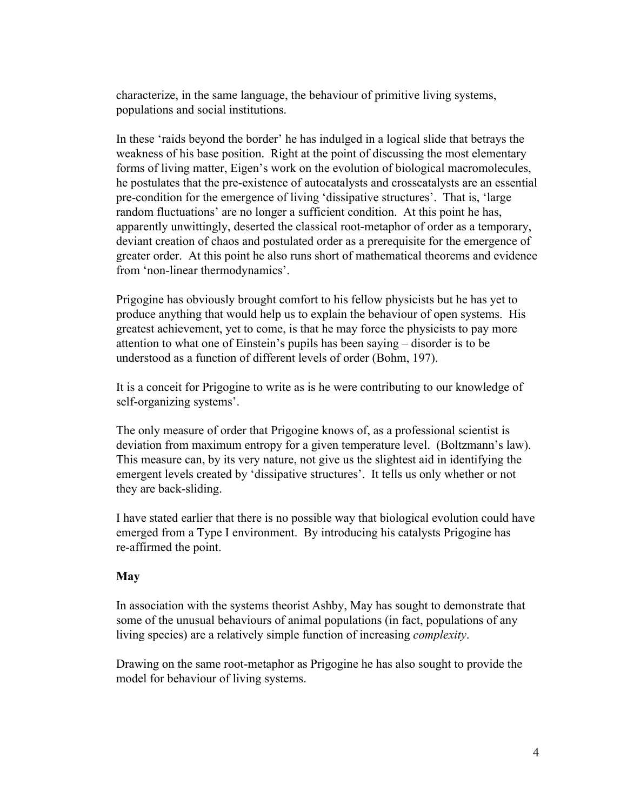characterize, in the same language, the behaviour of primitive living systems, populations and social institutions.

In these 'raids beyond the border' he has indulged in a logical slide that betrays the weakness of his base position. Right at the point of discussing the most elementary forms of living matter, Eigen's work on the evolution of biological macromolecules, he postulates that the pre-existence of autocatalysts and crosscatalysts are an essential pre-condition for the emergence of living 'dissipative structures'. That is, 'large random fluctuations' are no longer a sufficient condition. At this point he has, apparently unwittingly, deserted the classical root-metaphor of order as a temporary, deviant creation of chaos and postulated order as a prerequisite for the emergence of greater order. At this point he also runs short of mathematical theorems and evidence from 'non-linear thermodynamics'.

Prigogine has obviously brought comfort to his fellow physicists but he has yet to produce anything that would help us to explain the behaviour of open systems. His greatest achievement, yet to come, is that he may force the physicists to pay more attention to what one of Einstein's pupils has been saying – disorder is to be understood as a function of different levels of order (Bohm, 197).

It is a conceit for Prigogine to write as is he were contributing to our knowledge of self-organizing systems'.

The only measure of order that Prigogine knows of, as a professional scientist is deviation from maximum entropy for a given temperature level. (Boltzmann's law). This measure can, by its very nature, not give us the slightest aid in identifying the emergent levels created by 'dissipative structures'. It tells us only whether or not they are back-sliding.

I have stated earlier that there is no possible way that biological evolution could have emerged from a Type I environment. By introducing his catalysts Prigogine has re-affirmed the point.

### **May**

In association with the systems theorist Ashby, May has sought to demonstrate that some of the unusual behaviours of animal populations (in fact, populations of any living species) are a relatively simple function of increasing *complexity*.

Drawing on the same root-metaphor as Prigogine he has also sought to provide the model for behaviour of living systems.